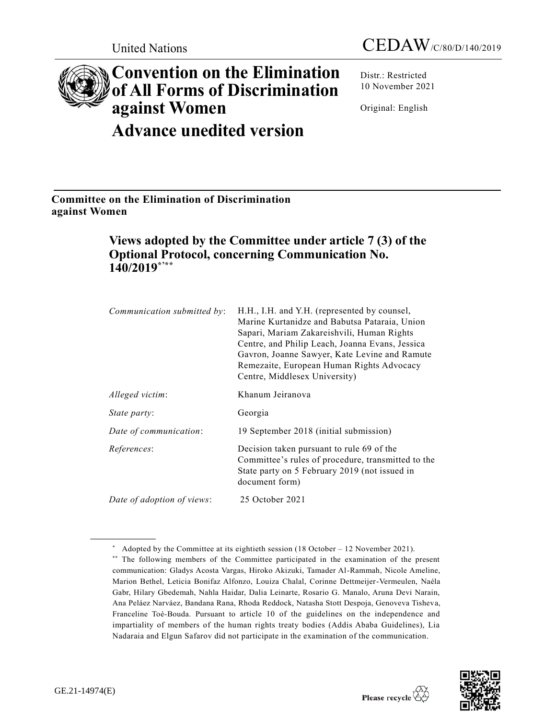# **Convention on the Elimination of All Forms of Discrimination against Women**

**Advance unedited version**

Distr.: Restricted 10 November 2021

Original: English

**Committee on the Elimination of Discrimination against Women** 

# **Views adopted by the Committee under article 7 (3) of the Optional Protocol, concerning Communication No. 140/2019\*'\*\***

| Communication submitted by: | H.H., I.H. and Y.H. (represented by counsel,<br>Marine Kurtanidze and Babutsa Pataraia, Union<br>Sapari, Mariam Zakareishvili, Human Rights<br>Centre, and Philip Leach, Joanna Evans, Jessica<br>Gavron, Joanne Sawyer, Kate Levine and Ramute<br>Remezaite, European Human Rights Advocacy<br>Centre, Middlesex University) |
|-----------------------------|-------------------------------------------------------------------------------------------------------------------------------------------------------------------------------------------------------------------------------------------------------------------------------------------------------------------------------|
| Alleged victim:             | Khanum Jeiranova                                                                                                                                                                                                                                                                                                              |
| State party:                | Georgia                                                                                                                                                                                                                                                                                                                       |
| Date of communication:      | 19 September 2018 (initial submission)                                                                                                                                                                                                                                                                                        |
| References:                 | Decision taken pursuant to rule 69 of the<br>Committee's rules of procedure, transmitted to the<br>State party on 5 February 2019 (not issued in<br>document form)                                                                                                                                                            |
| Date of adoption of views:  | 25 October 2021                                                                                                                                                                                                                                                                                                               |

<sup>\*</sup> Adopted by the Committee at its eightieth session (18 October – 12 November 2021).

<sup>\*\*</sup> The following members of the Committee participated in the examination of the present communication: Gladys Acosta Vargas, Hiroko Akizuki, Tamader Al-Rammah, Nicole Ameline, Marion Bethel, Leticia Bonifaz Alfonzo, Louiza Chalal, Corinne Dettmeijer-Vermeulen, [Naéla](http://tbinternet.ohchr.org/_layouts/treatybodyexternal/Download.aspx?symbolno=INT/CEDAW/BDF/20/26849&Lang=en)  [Gabr,](http://tbinternet.ohchr.org/_layouts/treatybodyexternal/Download.aspx?symbolno=INT/CEDAW/BDF/20/26849&Lang=en) Hilary Gbedemah, Nahla Haidar, Dalia Leinarte, Rosario G. Manalo, Aruna Devi Narain, Ana Peláez Narváez, Bandana Rana, Rhoda Reddock, Natasha Stott Despoja, Genoveva Tisheva, Franceline Toé-Bouda. Pursuant to article 10 of the guidelines on the independence and impartiality of members of the human rights treaty bodies (Addis Ababa Guidelines), Lia Nadaraia and Elgun Safarov did not participate in the examination of the communication.

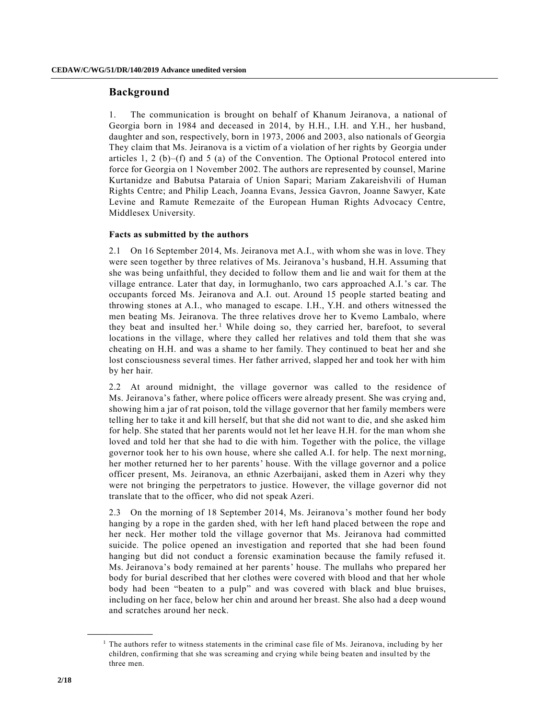## **Background**

1. The communication is brought on behalf of Khanum Jeiranova, a national of Georgia born in 1984 and deceased in 2014, by H.H., I.H. and Y.H., her husband, daughter and son, respectively, born in 1973, 2006 and 2003, also nationals of Georgia They claim that Ms. Jeiranova is a victim of a violation of her rights by Georgia under articles 1, 2 (b)–(f) and 5 (a) of the Convention. The Optional Protocol entered into force for Georgia on 1 November 2002. The authors are represented by counsel, Marine Kurtanidze and Babutsa Pataraia of Union Sapari; Mariam Zakareishvili of Human Rights Centre; and Philip Leach, Joanna Evans, Jessica Gavron, Joanne Sawyer, Kate Levine and Ramute Remezaite of the European Human Rights Advocacy Centre, Middlesex University.

### **Facts as submitted by the authors**

2.1 On 16 September 2014, Ms. Jeiranova met A.I., with whom she was in love. They were seen together by three relatives of Ms. Jeiranova's husband, H.H. Assuming that she was being unfaithful, they decided to follow them and lie and wait for them at the village entrance. Later that day, in Iormughanlo, two cars approached A.I.'s car. The occupants forced Ms. Jeiranova and A.I. out. Around 15 people started beating and throwing stones at A.I., who managed to escape. I.H., Y.H. and others witnessed the men beating Ms. Jeiranova. The three relatives drove her to Kvemo Lambalo, where they beat and insulted her.<sup>1</sup> While doing so, they carried her, barefoot, to several locations in the village, where they called her relatives and told them that she was cheating on H.H. and was a shame to her family. They continued to beat her and she lost consciousness several times. Her father arrived, slapped her and took her with him by her hair.

2.2 At around midnight, the village governor was called to the residence of Ms. Jeiranova's father, where police officers were already present. She was crying and, showing him a jar of rat poison, told the village governor that her family members were telling her to take it and kill herself, but that she did not want to die, and she asked him for help. She stated that her parents would not let her leave H.H. for the man whom she loved and told her that she had to die with him. Together with the police, the village governor took her to his own house, where she called A.I. for help. The next mor ning, her mother returned her to her parents' house. With the village governor and a police officer present, Ms. Jeiranova, an ethnic Azerbaijani, asked them in Azeri why they were not bringing the perpetrators to justice. However, the village governor did not translate that to the officer, who did not speak Azeri.

2.3 On the morning of 18 September 2014, Ms. Jeiranova's mother found her body hanging by a rope in the garden shed, with her left hand placed between the rope and her neck. Her mother told the village governor that Ms. Jeiranova had committed suicide. The police opened an investigation and reported that she had been found hanging but did not conduct a forensic examination because the family refused it. Ms. Jeiranova's body remained at her parents' house. The mullahs who prepared her body for burial described that her clothes were covered with blood and that her whole body had been "beaten to a pulp" and was covered with black and blue bruises, including on her face, below her chin and around her breast. She also had a deep wound and scratches around her neck.

<sup>1</sup> The authors refer to witness statements in the criminal case file of Ms. Jeiranova, including by her children, confirming that she was screaming and crying while being beaten and insulted by the three men.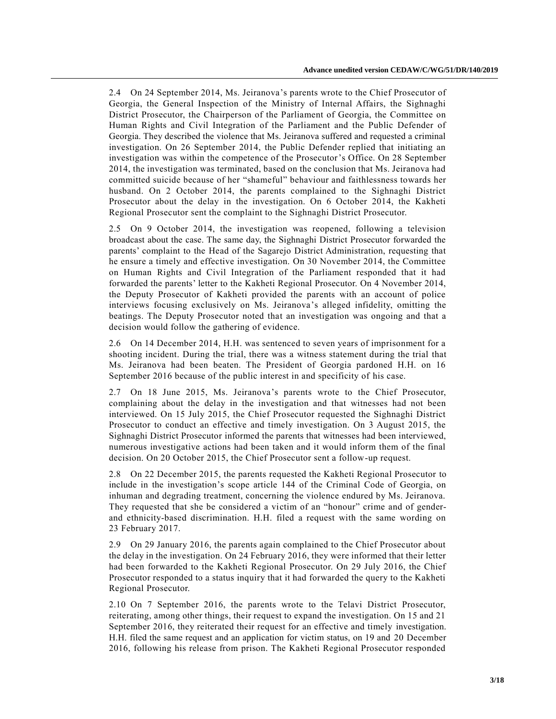2.4 On 24 September 2014, Ms. Jeiranova's parents wrote to the Chief Prosecutor of Georgia, the General Inspection of the Ministry of Internal Affairs, the Sighnaghi District Prosecutor, the Chairperson of the Parliament of Georgia, the Committee on Human Rights and Civil Integration of the Parliament and the Public Defender of Georgia. They described the violence that Ms. Jeiranova suffered and requested a criminal investigation. On 26 September 2014, the Public Defender replied that initiating an investigation was within the competence of the Prosecutor's Office. On 28 September 2014, the investigation was terminated, based on the conclusion that Ms. Jeiranova had committed suicide because of her "shameful" behaviour and faithlessness towards her husband. On 2 October 2014, the parents complained to the Sighnaghi District Prosecutor about the delay in the investigation. On 6 October 2014, the Kakheti Regional Prosecutor sent the complaint to the Sighnaghi District Prosecutor.

2.5 On 9 October 2014, the investigation was reopened, following a television broadcast about the case. The same day, the Sighnaghi District Prosecutor forwarded the parents' complaint to the Head of the Sagarejo District Administration, requesting that he ensure a timely and effective investigation. On 30 November 2014, the Committee on Human Rights and Civil Integration of the Parliament responded that it had forwarded the parents' letter to the Kakheti Regional Prosecutor. On 4 November 2014, the Deputy Prosecutor of Kakheti provided the parents with an account of police interviews focusing exclusively on Ms. Jeiranova's alleged infidelity, omitting the beatings. The Deputy Prosecutor noted that an investigation was ongoing and that a decision would follow the gathering of evidence.

2.6 On 14 December 2014, H.H. was sentenced to seven years of imprisonment for a shooting incident. During the trial, there was a witness statement during the trial that Ms. Jeiranova had been beaten. The President of Georgia pardoned H.H. on 16 September 2016 because of the public interest in and specificity of his case.

2.7 On 18 June 2015, Ms. Jeiranova's parents wrote to the Chief Prosecutor, complaining about the delay in the investigation and that witnesses had not been interviewed. On 15 July 2015, the Chief Prosecutor requested the Sighnaghi District Prosecutor to conduct an effective and timely investigation. On 3 August 2015, the Sighnaghi District Prosecutor informed the parents that witnesses had been interviewed, numerous investigative actions had been taken and it would inform them of the final decision. On 20 October 2015, the Chief Prosecutor sent a follow-up request.

2.8 On 22 December 2015, the parents requested the Kakheti Regional Prosecutor to include in the investigation's scope article 144 of the Criminal Code of Georgia, on inhuman and degrading treatment, concerning the violence endured by Ms. Jeiranova. They requested that she be considered a victim of an "honour" crime and of genderand ethnicity-based discrimination. H.H. filed a request with the same wording on 23 February 2017.

2.9 On 29 January 2016, the parents again complained to the Chief Prosecutor about the delay in the investigation. On 24 February 2016, they were informed that their letter had been forwarded to the Kakheti Regional Prosecutor. On 29 July 2016, the Chief Prosecutor responded to a status inquiry that it had forwarded the query to the Kakheti Regional Prosecutor.

2.10 On 7 September 2016, the parents wrote to the Telavi District Prosecutor, reiterating, among other things, their request to expand the investigation. On 15 and 21 September 2016, they reiterated their request for an effective and timely investigation. H.H. filed the same request and an application for victim status, on 19 and 20 December 2016, following his release from prison. The Kakheti Regional Prosecutor responded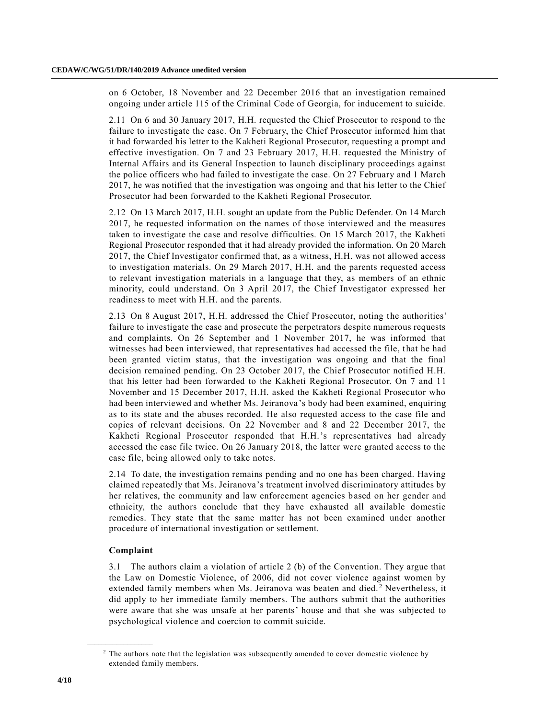on 6 October, 18 November and 22 December 2016 that an investigation remained ongoing under article 115 of the Criminal Code of Georgia, for inducement to suicide.

2.11 On 6 and 30 January 2017, H.H. requested the Chief Prosecutor to respond to the failure to investigate the case. On 7 February, the Chief Prosecutor informed him that it had forwarded his letter to the Kakheti Regional Prosecutor, requesting a prompt and effective investigation. On 7 and 23 February 2017, H.H. requested the Ministry of Internal Affairs and its General Inspection to launch disciplinary proceedings against the police officers who had failed to investigate the case. On 27 February and 1 March 2017, he was notified that the investigation was ongoing and that his letter to the Chief Prosecutor had been forwarded to the Kakheti Regional Prosecutor.

2.12 On 13 March 2017, H.H. sought an update from the Public Defender. On 14 March 2017, he requested information on the names of those interviewed and the measures taken to investigate the case and resolve difficulties. On 15 March 2017, the Kakheti Regional Prosecutor responded that it had already provided the information. On 20 March 2017, the Chief Investigator confirmed that, as a witness, H.H. was not allowed access to investigation materials. On 29 March 2017, H.H. and the parents requested access to relevant investigation materials in a language that they, as members of an ethnic minority, could understand. On 3 April 2017, the Chief Investigator expressed her readiness to meet with H.H. and the parents.

2.13 On 8 August 2017, H.H. addressed the Chief Prosecutor, noting the authorities' failure to investigate the case and prosecute the perpetrators despite numerous requests and complaints. On 26 September and 1 November 2017, he was informed that witnesses had been interviewed, that representatives had accessed the file, that he had been granted victim status, that the investigation was ongoing and that the final decision remained pending. On 23 October 2017, the Chief Prosecutor notified H.H. that his letter had been forwarded to the Kakheti Regional Prosecutor. On 7 and 11 November and 15 December 2017, H.H. asked the Kakheti Regional Prosecutor who had been interviewed and whether Ms. Jeiranova's body had been examined, enquiring as to its state and the abuses recorded. He also requested access to the case file and copies of relevant decisions. On 22 November and 8 and 22 December 2017, the Kakheti Regional Prosecutor responded that H.H.'s representatives had already accessed the case file twice. On 26 January 2018, the latter were granted access to the case file, being allowed only to take notes.

2.14 To date, the investigation remains pending and no one has been charged. Having claimed repeatedly that Ms. Jeiranova's treatment involved discriminatory attitudes by her relatives, the community and law enforcement agencies based on her gender and ethnicity, the authors conclude that they have exhausted all available domestic remedies. They state that the same matter has not been examined under another procedure of international investigation or settlement.

#### **Complaint**

**\_\_\_\_\_\_\_\_\_\_\_\_\_\_\_\_\_\_**

3.1 The authors claim a violation of article 2 (b) of the Convention. They argue that the Law on Domestic Violence, of 2006, did not cover violence against women by extended family members when Ms. Jeiranova was beaten and died.<sup>2</sup> Nevertheless, it did apply to her immediate family members. The authors submit that the authorities were aware that she was unsafe at her parents' house and that she was subjected to psychological violence and coercion to commit suicide.

<sup>&</sup>lt;sup>2</sup> The authors note that the legislation was subsequently amended to cover domestic violence by extended family members.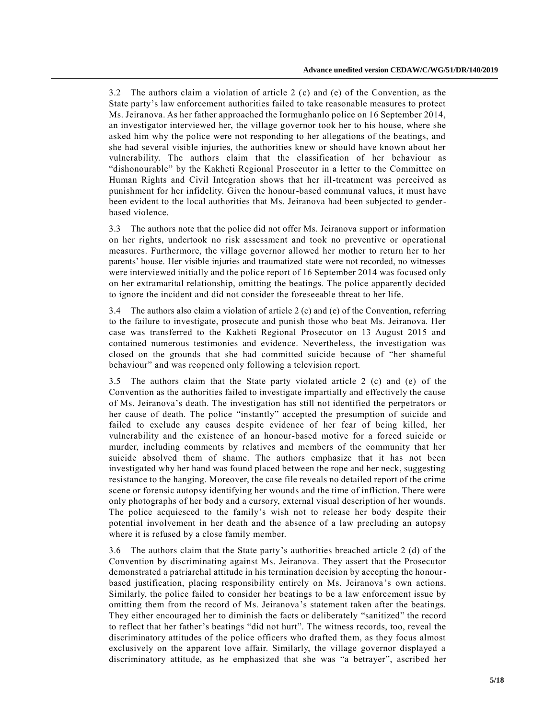3.2 The authors claim a violation of article 2 (c) and (e) of the Convention, as the State party's law enforcement authorities failed to take reasonable measures to protect Ms. Jeiranova. As her father approached the Iormughanlo police on 16 September 2014, an investigator interviewed her, the village governor took her to his house, where she asked him why the police were not responding to her allegations of the beatings, and she had several visible injuries, the authorities knew or should have known about her vulnerability. The authors claim that the classification of her behaviour as "dishonourable" by the Kakheti Regional Prosecutor in a letter to the Committee on Human Rights and Civil Integration shows that her ill-treatment was perceived as punishment for her infidelity. Given the honour-based communal values, it must have been evident to the local authorities that Ms. Jeiranova had been subjected to genderbased violence.

3.3 The authors note that the police did not offer Ms. Jeiranova support or information on her rights, undertook no risk assessment and took no preventive or operational measures. Furthermore, the village governor allowed her mother to return her to her parents' house. Her visible injuries and traumatized state were not recorded, no witnesses were interviewed initially and the police report of 16 September 2014 was focused only on her extramarital relationship, omitting the beatings. The police apparently decided to ignore the incident and did not consider the foreseeable threat to her life.

3.4 The authors also claim a violation of article 2 (c) and (e) of the Convention, referring to the failure to investigate, prosecute and punish those who beat Ms. Jeiranova. Her case was transferred to the Kakheti Regional Prosecutor on 13 August 2015 and contained numerous testimonies and evidence. Nevertheless, the investigation was closed on the grounds that she had committed suicide because of "her shameful behaviour" and was reopened only following a television report.

3.5 The authors claim that the State party violated article 2 (c) and (e) of the Convention as the authorities failed to investigate impartially and effectively the cause of Ms. Jeiranova's death. The investigation has still not identified the perpetrators or her cause of death. The police "instantly" accepted the presumption of suicide and failed to exclude any causes despite evidence of her fear of being killed, her vulnerability and the existence of an honour-based motive for a forced suicide or murder, including comments by relatives and members of the community that her suicide absolved them of shame. The authors emphasize that it has not been investigated why her hand was found placed between the rope and her neck, suggesting resistance to the hanging. Moreover, the case file reveals no detailed report of the crime scene or forensic autopsy identifying her wounds and the time of infliction. There were only photographs of her body and a cursory, external visual description of her wounds. The police acquiesced to the family's wish not to release her body despite their potential involvement in her death and the absence of a law precluding an autopsy where it is refused by a close family member.

3.6 The authors claim that the State party's authorities breached article 2 (d) of the Convention by discriminating against Ms. Jeiranova. They assert that the Prosecutor demonstrated a patriarchal attitude in his termination decision by accepting the honourbased justification, placing responsibility entirely on Ms. Jeiranova 's own actions. Similarly, the police failed to consider her beatings to be a law enforcement issue by omitting them from the record of Ms. Jeiranova's statement taken after the beatings. They either encouraged her to diminish the facts or deliberately "sanitized" the record to reflect that her father's beatings "did not hurt". The witness records, too, reveal the discriminatory attitudes of the police officers who drafted them, as they focus almost exclusively on the apparent love affair. Similarly, the village governor displayed a discriminatory attitude, as he emphasized that she was "a betrayer", ascribed her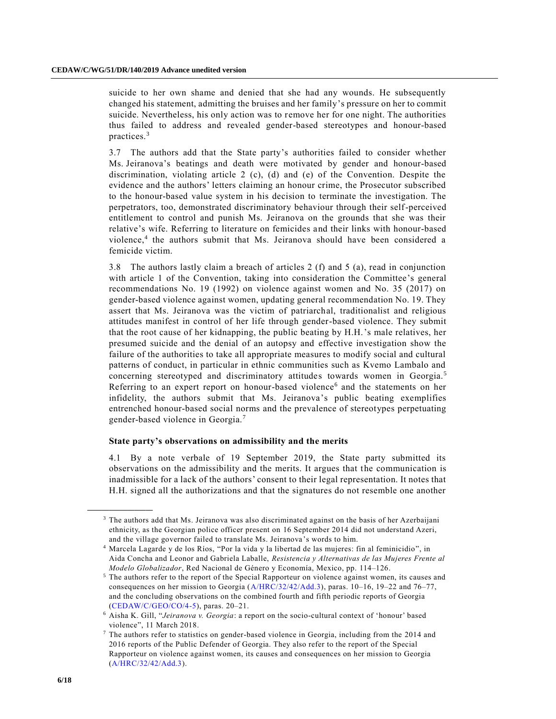suicide to her own shame and denied that she had any wounds. He subsequently changed his statement, admitting the bruises and her family's pressure on her to commit suicide. Nevertheless, his only action was to remove her for one night. The authorities thus failed to address and revealed gender-based stereotypes and honour-based practices.<sup>3</sup>

3.7 The authors add that the State party's authorities failed to consider whether Ms. Jeiranova's beatings and death were motivated by gender and honour-based discrimination, violating article 2 (c), (d) and (e) of the Convention. Despite the evidence and the authors' letters claiming an honour crime, the Prosecutor subscribed to the honour-based value system in his decision to terminate the investigation. The perpetrators, too, demonstrated discriminatory behaviour through their self-perceived entitlement to control and punish Ms. Jeiranova on the grounds that she was their relative's wife. Referring to literature on femicides and their links with honour-based violence,<sup>4</sup> the authors submit that Ms. Jeiranova should have been considered a femicide victim.

3.8 The authors lastly claim a breach of articles 2 (f) and 5 (a), read in conjunction with article 1 of the Convention, taking into consideration the Committee's general recommendations No. 19 (1992) on violence against women and No. 35 (2017) on gender-based violence against women, updating general recommendation No. 19. They assert that Ms. Jeiranova was the victim of patriarchal, traditionalist and religious attitudes manifest in control of her life through gender-based violence. They submit that the root cause of her kidnapping, the public beating by H.H.'s male relatives, her presumed suicide and the denial of an autopsy and effective investigation show the failure of the authorities to take all appropriate measures to modify social and cultural patterns of conduct, in particular in ethnic communities such as Kvemo Lambalo and concerning stereotyped and discriminatory attitudes towards women in Georgia.<sup>5</sup> Referring to an expert report on honour-based violence<sup>6</sup> and the statements on her infidelity, the authors submit that Ms. Jeiranova's public beating exemplifies entrenched honour-based social norms and the prevalence of stereotypes perpetuating gender-based violence in Georgia.<sup>7</sup>

#### **State party's observations on admissibility and the merits**

4.1 By a note verbale of 19 September 2019, the State party submitted its observations on the admissibility and the merits. It argues that the communication is inadmissible for a lack of the authors' consent to their legal representation. It notes that H.H. signed all the authorizations and that the signatures do not resemble one another

<sup>&</sup>lt;sup>3</sup> The authors add that Ms. Jeiranova was also discriminated against on the basis of her Azerbaijani ethnicity, as the Georgian police officer present on 16 September 2014 did not understand Azeri, and the village governor failed to translate Ms. Jeiranova's words to him.

<sup>4</sup> Marcela Lagarde y de los Ríos, "Por la vida y la libertad de las mujeres: fin al feminicidio", in Aida Concha and Leonor and Gabriela Laballe, *Resistencia y Alternativas de las Mujeres Frente al Modelo Globalizador*, Red Nacional de Género y Economía, Mexico, pp. 114–126.

<sup>5</sup> The authors refer to the report of the Special Rapporteur on violence against women, its causes and consequences on her mission to Georgia [\(A/HRC/32/42/Add.3\)](https://undocs.org/en/A/HRC/32/42/Add.3), paras. 10–16, 19–22 and 76–77, and the concluding observations on the combined fourth and fifth periodic reports of Georgia [\(CEDAW/C/GEO/CO/4-5\)](https://undocs.org/en/CEDAW/C/GEO/CO/4-5), paras. 20–21.

<sup>6</sup> Aisha K. Gill, "*Jeiranova v. Georgia*: a report on the socio-cultural context of 'honour' based violence", 11 March 2018.

<sup>7</sup> The authors refer to statistics on gender-based violence in Georgia, including from the 2014 and 2016 reports of the Public Defender of Georgia. They also refer to the report of the Special Rapporteur on violence against women, its causes and consequences on her mission to Georgia [\(A/HRC/32/42/Add.3\)](https://undocs.org/en/A/HRC/32/42/Add.3).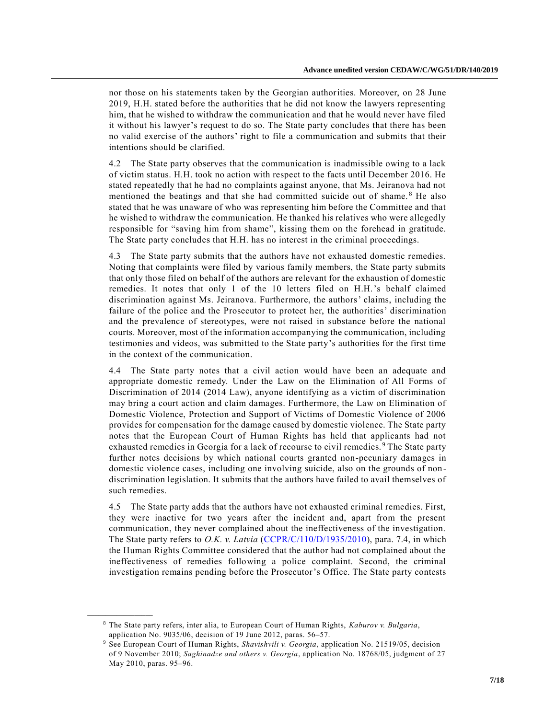nor those on his statements taken by the Georgian authorities. Moreover, on 28 June 2019, H.H. stated before the authorities that he did not know the lawyers representing him, that he wished to withdraw the communication and that he would never have filed it without his lawyer's request to do so. The State party concludes that there has been no valid exercise of the authors' right to file a communication and submits that their intentions should be clarified.

4.2 The State party observes that the communication is inadmissible owing to a lack of victim status. H.H. took no action with respect to the facts until December 2016. He stated repeatedly that he had no complaints against anyone, that Ms. Jeiranova had not mentioned the beatings and that she had committed suicide out of shame. <sup>8</sup> He also stated that he was unaware of who was representing him before the Committee and that he wished to withdraw the communication. He thanked his relatives who were allegedly responsible for "saving him from shame", kissing them on the forehead in gratitude. The State party concludes that H.H. has no interest in the criminal proceedings.

4.3 The State party submits that the authors have not exhausted domestic remedies. Noting that complaints were filed by various family members, the State party submits that only those filed on behalf of the authors are relevant for the exhaustion of domestic remedies. It notes that only 1 of the 10 letters filed on H.H.'s behalf claimed discrimination against Ms. Jeiranova. Furthermore, the authors' claims, including the failure of the police and the Prosecutor to protect her, the authorities' discrimination and the prevalence of stereotypes, were not raised in substance before the national courts. Moreover, most of the information accompanying the communication, including testimonies and videos, was submitted to the State party's authorities for the first time in the context of the communication.

4.4 The State party notes that a civil action would have been an adequate and appropriate domestic remedy. Under the Law on the Elimination of All Forms of Discrimination of 2014 (2014 Law), anyone identifying as a victim of discrimination may bring a court action and claim damages. Furthermore, the Law on Elimination of Domestic Violence, Protection and Support of Victims of Domestic Violence of 2006 provides for compensation for the damage caused by domestic violence. The State party notes that the European Court of Human Rights has held that applicants had not exhausted remedies in Georgia for a lack of recourse to civil remedies. <sup>9</sup> The State party further notes decisions by which national courts granted non-pecuniary damages in domestic violence cases, including one involving suicide, also on the grounds of non discrimination legislation. It submits that the authors have failed to avail themselves of such remedies.

4.5 The State party adds that the authors have not exhausted criminal remedies. First, they were inactive for two years after the incident and, apart from the present communication, they never complained about the ineffectiveness of the investigation. The State party refers to *O.K. v. Latvia* [\(CCPR/C/110/D/1935/2010\)](https://undocs.org/en/CCPR/C/110/D/1935/2010), para. 7.4, in which the Human Rights Committee considered that the author had not complained about the ineffectiveness of remedies following a police complaint. Second, the criminal investigation remains pending before the Prosecutor's Office. The State party contests

<sup>8</sup> The State party refers, inter alia, to European Court of Human Rights, *Kaburov v. Bulgaria*, application No. 9035/06, decision of 19 June 2012, paras. 56–57.

<sup>9</sup> See European Court of Human Rights, *Shavishvili v. Georgia*, application No. 21519/05, decision of 9 November 2010; *Saghinadze and others v. Georgia*, application No. 18768/05, judgment of 27 May 2010, paras. 95–96.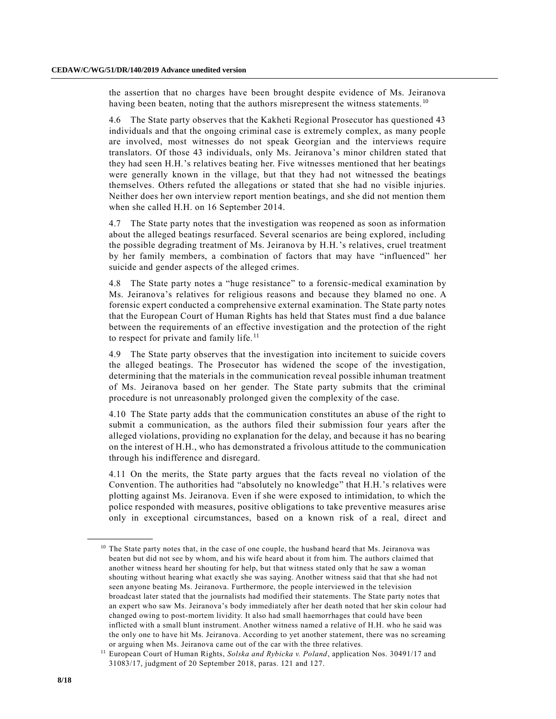the assertion that no charges have been brought despite evidence of Ms. Jeiranova having been beaten, noting that the authors misrepresent the witness statements.<sup>10</sup>

4.6 The State party observes that the Kakheti Regional Prosecutor has questioned 43 individuals and that the ongoing criminal case is extremely complex, as many people are involved, most witnesses do not speak Georgian and the interviews require translators. Of those 43 individuals, only Ms. Jeiranova's minor children stated that they had seen H.H.'s relatives beating her. Five witnesses mentioned that her beatings were generally known in the village, but that they had not witnessed the beatings themselves. Others refuted the allegations or stated that she had no visible injuries. Neither does her own interview report mention beatings, and she did not mention them when she called H.H. on 16 September 2014.

4.7 The State party notes that the investigation was reopened as soon as information about the alleged beatings resurfaced. Several scenarios are being explored, including the possible degrading treatment of Ms. Jeiranova by H.H.'s relatives, cruel treatment by her family members, a combination of factors that may have "influenced" her suicide and gender aspects of the alleged crimes.

4.8 The State party notes a "huge resistance" to a forensic-medical examination by Ms. Jeiranova's relatives for religious reasons and because they blamed no one. A forensic expert conducted a comprehensive external examination. The State party notes that the European Court of Human Rights has held that States must find a due balance between the requirements of an effective investigation and the protection of the right to respect for private and family life.<sup>11</sup>

4.9 The State party observes that the investigation into incitement to suicide covers the alleged beatings. The Prosecutor has widened the scope of the investigation, determining that the materials in the communication reveal possible inhuman treatment of Ms. Jeiranova based on her gender. The State party submits that the criminal procedure is not unreasonably prolonged given the complexity of the case.

4.10 The State party adds that the communication constitutes an abuse of the right to submit a communication, as the authors filed their submission four years after the alleged violations, providing no explanation for the delay, and because it has no bearing on the interest of H.H., who has demonstrated a frivolous attitude to the communication through his indifference and disregard.

4.11 On the merits, the State party argues that the facts reveal no violation of the Convention. The authorities had "absolutely no knowledge" that H.H.'s relatives were plotting against Ms. Jeiranova. Even if she were exposed to intimidation, to which the police responded with measures, positive obligations to take preventive measures arise only in exceptional circumstances, based on a known risk of a real, direct and

 $10$  The State party notes that, in the case of one couple, the husband heard that Ms. Jeiranova was beaten but did not see by whom, and his wife heard about it from him. The authors claimed that another witness heard her shouting for help, but that witness stated only that he saw a woman shouting without hearing what exactly she was saying. Another witness said that that she had not seen anyone beating Ms. Jeiranova. Furthermore, the people interviewed in the television broadcast later stated that the journalists had modified their statements. The State party notes that an expert who saw Ms. Jeiranova's body immediately after her death noted that her skin colour had changed owing to post-mortem lividity. It also had small haemorrhages that could have been inflicted with a small blunt instrument. Another witness named a relative of H.H. who he said was the only one to have hit Ms. Jeiranova. According to yet another statement, there was no screaming or arguing when Ms. Jeiranova came out of the car with the three relatives.

<sup>11</sup> European Court of Human Rights, *Solska and Rybicka v. Poland*, application Nos. 30491/17 and 31083/17, judgment of 20 September 2018, paras. 121 and 127.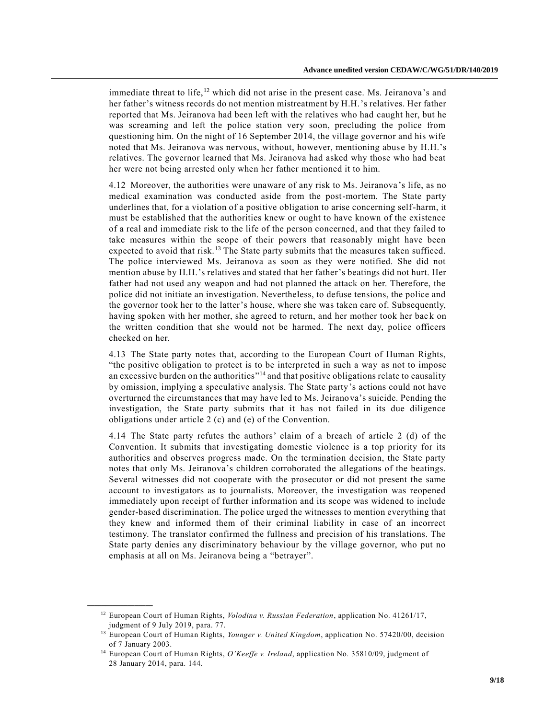immediate threat to life,<sup>12</sup> which did not arise in the present case. Ms. Jeiranova's and her father's witness records do not mention mistreatment by H.H.'s relatives. Her father reported that Ms. Jeiranova had been left with the relatives who had caught her, but he was screaming and left the police station very soon, precluding the police from questioning him. On the night of 16 September 2014, the village governor and his wife noted that Ms. Jeiranova was nervous, without, however, mentioning abus e by H.H.'s relatives. The governor learned that Ms. Jeiranova had asked why those who had beat her were not being arrested only when her father mentioned it to him.

4.12 Moreover, the authorities were unaware of any risk to Ms. Jeiranova 's life, as no medical examination was conducted aside from the post-mortem. The State party underlines that, for a violation of a positive obligation to arise concerning self-harm, it must be established that the authorities knew or ought to have known of the existence of a real and immediate risk to the life of the person concerned, and that they failed to take measures within the scope of their powers that reasonably might have been expected to avoid that risk.<sup>13</sup> The State party submits that the measures taken sufficed. The police interviewed Ms. Jeiranova as soon as they were notified. She did not mention abuse by H.H.'s relatives and stated that her father's beatings did not hurt. Her father had not used any weapon and had not planned the attack on her. Therefore, the police did not initiate an investigation. Nevertheless, to defuse tensions, the police and the governor took her to the latter's house, where she was taken care of. Subsequently, having spoken with her mother, she agreed to return, and her mother took her back on the written condition that she would not be harmed. The next day, police officers checked on her.

4.13 The State party notes that, according to the European Court of Human Rights, "the positive obligation to protect is to be interpreted in such a way as not to impose an excessive burden on the authorities"<sup>14</sup> and that positive obligations relate to causality by omission, implying a speculative analysis. The State party's actions could not have overturned the circumstances that may have led to Ms. Jeiranova's suicide. Pending the investigation, the State party submits that it has not failed in its due diligence obligations under article 2 (c) and (e) of the Convention.

4.14 The State party refutes the authors' claim of a breach of article 2 (d) of the Convention. It submits that investigating domestic violence is a top priority for its authorities and observes progress made. On the termination decision, the State party notes that only Ms. Jeiranova's children corroborated the allegations of the beatings. Several witnesses did not cooperate with the prosecutor or did not present the same account to investigators as to journalists. Moreover, the investigation was reopened immediately upon receipt of further information and its scope was widened to include gender-based discrimination. The police urged the witnesses to mention everything that they knew and informed them of their criminal liability in case of an incorrect testimony. The translator confirmed the fullness and precision of his translations. The State party denies any discriminatory behaviour by the village governor, who put no emphasis at all on Ms. Jeiranova being a "betrayer".

<sup>12</sup> European Court of Human Rights, *Volodina v. Russian Federation*, application No. 41261/17, judgment of 9 July 2019, para. 77.

<sup>13</sup> European Court of Human Rights, *Younger v. United Kingdom*, application No. 57420/00, decision of 7 January 2003.

<sup>14</sup> European Court of Human Rights, *O'Keeffe v. Ireland*, application No. 35810/09, judgment of 28 January 2014, para. 144.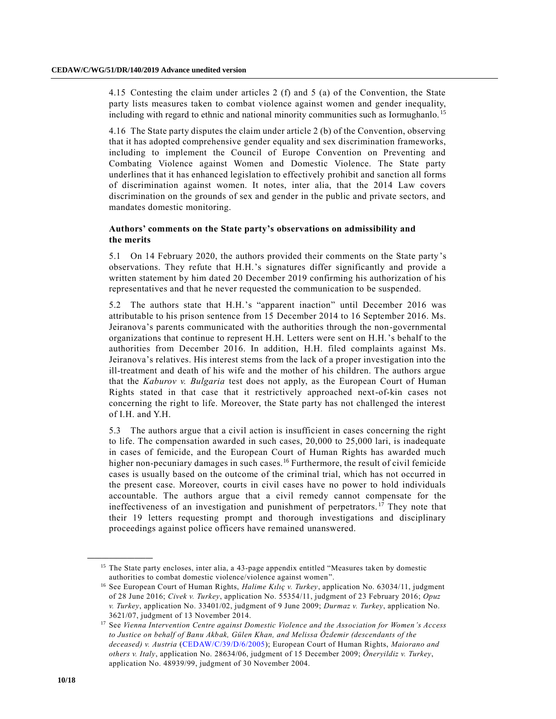4.15 Contesting the claim under articles 2 (f) and 5 (a) of the Convention, the State party lists measures taken to combat violence against women and gender inequality, including with regard to ethnic and national minority communities such as Iormughanlo. <sup>15</sup>

4.16 The State party disputes the claim under article 2 (b) of the Convention, observing that it has adopted comprehensive gender equality and sex discrimination frameworks, including to implement the Council of Europe Convention on Preventing and Combating Violence against Women and Domestic Violence. The State party underlines that it has enhanced legislation to effectively prohibit and sanction all forms of discrimination against women. It notes, inter alia, that the 2014 Law covers discrimination on the grounds of sex and gender in the public and private sectors, and mandates domestic monitoring.

#### **Authors' comments on the State party's observations on admissibility and the merits**

5.1 On 14 February 2020, the authors provided their comments on the State party's observations. They refute that H.H.'s signatures differ significantly and provide a written statement by him dated 20 December 2019 confirming his authorization of his representatives and that he never requested the communication to be suspended.

5.2 The authors state that H.H.'s "apparent inaction" until December 2016 was attributable to his prison sentence from 15 December 2014 to 16 September 2016. Ms. Jeiranova's parents communicated with the authorities through the non-governmental organizations that continue to represent H.H. Letters were sent on H.H.'s behalf to the authorities from December 2016. In addition, H.H. filed complaints against Ms. Jeiranova's relatives. His interest stems from the lack of a proper investigation into the ill-treatment and death of his wife and the mother of his children. The authors argue that the *Kaburov v. Bulgaria* test does not apply, as the European Court of Human Rights stated in that case that it restrictively approached next-of-kin cases not concerning the right to life. Moreover, the State party has not challenged the interest of I.H. and Y.H.

5.3 The authors argue that a civil action is insufficient in cases concerning the right to life. The compensation awarded in such cases, 20,000 to 25,000 lari, is inadequate in cases of femicide, and the European Court of Human Rights has awarded much higher non-pecuniary damages in such cases.<sup>16</sup> Furthermore, the result of civil femicide cases is usually based on the outcome of the criminal trial, which has not occurred in the present case. Moreover, courts in civil cases have no power to hold individuals accountable. The authors argue that a civil remedy cannot compensate for the ineffectiveness of an investigation and punishment of perpetrators. <sup>17</sup> They note that their 19 letters requesting prompt and thorough investigations and disciplinary proceedings against police officers have remained unanswered.

<sup>15</sup> The State party encloses, inter alia, a 43-page appendix entitled "Measures taken by domestic authorities to combat domestic violence/violence against women".

<sup>16</sup> See European Court of Human Rights, *Halime Kılıç v. Turkey*, application No. 63034/11, judgment of 28 June 2016; *Civek v. Turkey*, application No. 55354/11, judgment of 23 February 2016; *Opuz v. Turkey*, application No. 33401/02, judgment of 9 June 2009; *Durmaz v. Turkey*, application No. 3621/07, judgment of 13 November 2014.

<sup>17</sup> See *Vienna Intervention Centre against Domestic Violence and the Association for Women's Access to Justice on behalf of Banu Akbak, Gülen Khan, and Melissa Özdemir (descendants of the deceased) v. Austria* [\(CEDAW/C/39/D/6/2005\)](https://undocs.org/en/CEDAW/C/39/D/6/2005); European Court of Human Rights, *Maiorano and others v. Italy*, application No. 28634/06, judgment of 15 December 2009; *Öneryildiz v. Turkey*, application No. 48939/99, judgment of 30 November 2004.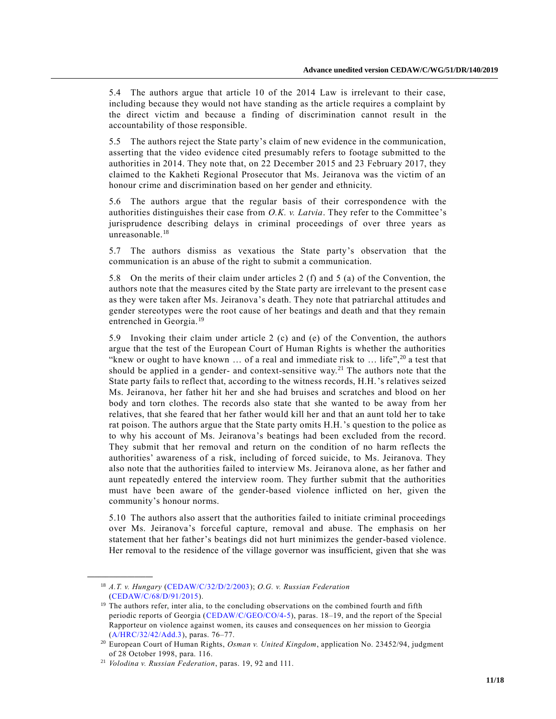5.4 The authors argue that article 10 of the 2014 Law is irrelevant to their case, including because they would not have standing as the article requires a complaint by the direct victim and because a finding of discrimination cannot result in the accountability of those responsible.

5.5 The authors reject the State party's claim of new evidence in the communication, asserting that the video evidence cited presumably refers to footage submitted to the authorities in 2014. They note that, on 22 December 2015 and 23 February 2017, they claimed to the Kakheti Regional Prosecutor that Ms. Jeiranova was the victim of an honour crime and discrimination based on her gender and ethnicity.

5.6 The authors argue that the regular basis of their correspondence with the authorities distinguishes their case from *O.K. v. Latvia*. They refer to the Committee's jurisprudence describing delays in criminal proceedings of over three years as unreasonable.<sup>18</sup>

5.7 The authors dismiss as vexatious the State party's observation that the communication is an abuse of the right to submit a communication.

5.8 On the merits of their claim under articles 2 (f) and 5 (a) of the Convention, the authors note that the measures cited by the State party are irrelevant to the present cas e as they were taken after Ms. Jeiranova's death. They note that patriarchal attitudes and gender stereotypes were the root cause of her beatings and death and that they remain entrenched in Georgia.<sup>19</sup>

5.9 Invoking their claim under article 2 (c) and (e) of the Convention, the authors argue that the test of the European Court of Human Rights is whether the authorities "knew or ought to have known  $\ldots$  of a real and immediate risk to  $\ldots$  life",<sup>20</sup> a test that should be applied in a gender- and context-sensitive way.<sup>21</sup> The authors note that the State party fails to reflect that, according to the witness records, H.H.'s relatives seized Ms. Jeiranova, her father hit her and she had bruises and scratches and blood on her body and torn clothes. The records also state that she wanted to be away from her relatives, that she feared that her father would kill her and that an aunt told her to take rat poison. The authors argue that the State party omits H.H.'s question to the police as to why his account of Ms. Jeiranova's beatings had been excluded from the record. They submit that her removal and return on the condition of no harm reflects the authorities' awareness of a risk, including of forced suicide, to Ms. Jeiranova. They also note that the authorities failed to interview Ms. Jeiranova alone, as her father and aunt repeatedly entered the interview room. They further submit that the authorities must have been aware of the gender-based violence inflicted on her, given the community's honour norms.

5.10 The authors also assert that the authorities failed to initiate criminal proceedings over Ms. Jeiranova's forceful capture, removal and abuse. The emphasis on her statement that her father's beatings did not hurt minimizes the gender-based violence. Her removal to the residence of the village governor was insufficient, given that she was

<sup>18</sup> *A.T. v. Hungary* [\(CEDAW/C/32/D/2/2003\)](https://undocs.org/en/CEDAW/C/32/D/2/2003); *O.G. v. Russian Federation* [\(CEDAW/C/68/D/91/2015\)](https://undocs.org/en/CEDAW/C/68/D/91/2015).

<sup>&</sup>lt;sup>19</sup> The authors refer, inter alia, to the concluding observations on the combined fourth and fifth periodic reports of Georgia [\(CEDAW/C/GEO/CO/4-5\)](https://undocs.org/en/CEDAW/C/GEO/CO/4-5), paras. 18–19, and the report of the Special Rapporteur on violence against women, its causes and consequences on her mission to Georgia [\(A/HRC/32/42/Add.3\)](https://undocs.org/en/A/HRC/32/42/Add.3), paras. 76–77.

<sup>20</sup> European Court of Human Rights, *Osman v. United Kingdom*, application No. 23452/94, judgment of 28 October 1998, para. 116.

<sup>21</sup> *Volodina v. Russian Federation*, paras. 19, 92 and 111.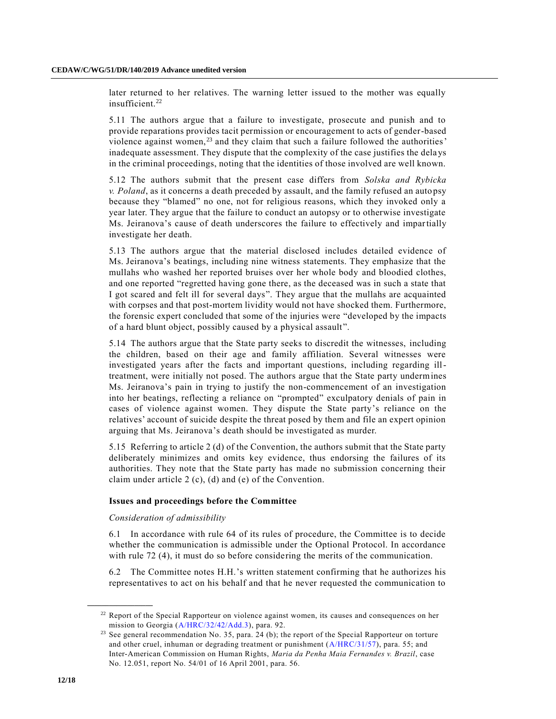later returned to her relatives. The warning letter issued to the mother was equally insufficient.<sup>22</sup>

5.11 The authors argue that a failure to investigate, prosecute and punish and to provide reparations provides tacit permission or encouragement to acts of gender-based violence against women, $^{23}$  and they claim that such a failure followed the authorities' inadequate assessment. They dispute that the complexity of the case justifies the dela ys in the criminal proceedings, noting that the identities of those involved are well known.

5.12 The authors submit that the present case differs from *Solska and Rybicka v. Poland*, as it concerns a death preceded by assault, and the family refused an autopsy because they "blamed" no one, not for religious reasons, which they invoked only a year later. They argue that the failure to conduct an autopsy or to otherwise investigate Ms. Jeiranova's cause of death underscores the failure to effectively and impartially investigate her death.

5.13 The authors argue that the material disclosed includes detailed evidence of Ms. Jeiranova's beatings, including nine witness statements. They emphasize that the mullahs who washed her reported bruises over her whole body and bloodied clothes, and one reported "regretted having gone there, as the deceased was in such a state that I got scared and felt ill for several days". They argue that the mullahs are acquainted with corpses and that post-mortem lividity would not have shocked them. Furthermore, the forensic expert concluded that some of the injuries were "developed by the impacts of a hard blunt object, possibly caused by a physical assault".

5.14 The authors argue that the State party seeks to discredit the witnesses, including the children, based on their age and family affiliation. Several witnesses were investigated years after the facts and important questions, including regarding illtreatment, were initially not posed. The authors argue that the State party undermines Ms. Jeiranova's pain in trying to justify the non-commencement of an investigation into her beatings, reflecting a reliance on "prompted" exculpatory denials of pain in cases of violence against women. They dispute the State party's reliance on the relatives' account of suicide despite the threat posed by them and file an expert opinion arguing that Ms. Jeiranova's death should be investigated as murder.

5.15 Referring to article 2 (d) of the Convention, the authors submit that the State party deliberately minimizes and omits key evidence, thus endorsing the failures of its authorities. They note that the State party has made no submission concerning their claim under article 2 (c), (d) and (e) of the Convention.

#### **Issues and proceedings before the Committee**

#### *Consideration of admissibility*

**\_\_\_\_\_\_\_\_\_\_\_\_\_\_\_\_\_\_**

6.1 In accordance with rule 64 of its rules of procedure, the Committee is to decide whether the communication is admissible under the Optional Protocol. In accordance with rule 72 (4), it must do so before considering the merits of the communication.

6.2 The Committee notes H.H.'s written statement confirming that he authorizes his representatives to act on his behalf and that he never requested the communication to

<sup>&</sup>lt;sup>22</sup> Report of the Special Rapporteur on violence against women, its causes and consequences on her mission to Georgia [\(A/HRC/32/42/Add.3\)](https://undocs.org/en/A/HRC/32/42/Add.3), para. 92.

<sup>&</sup>lt;sup>23</sup> See general recommendation No. 35, para. 24 (b); the report of the Special Rapporteur on torture and other cruel, inhuman or degrading treatment or punishment [\(A/HRC/31/57\)](https://undocs.org/en/A/HRC/31/57), para. 55; and Inter-American Commission on Human Rights, *Maria da Penha Maia Fernandes v. Brazil*, case No. 12.051, report No. 54/01 of 16 April 2001, para. 56.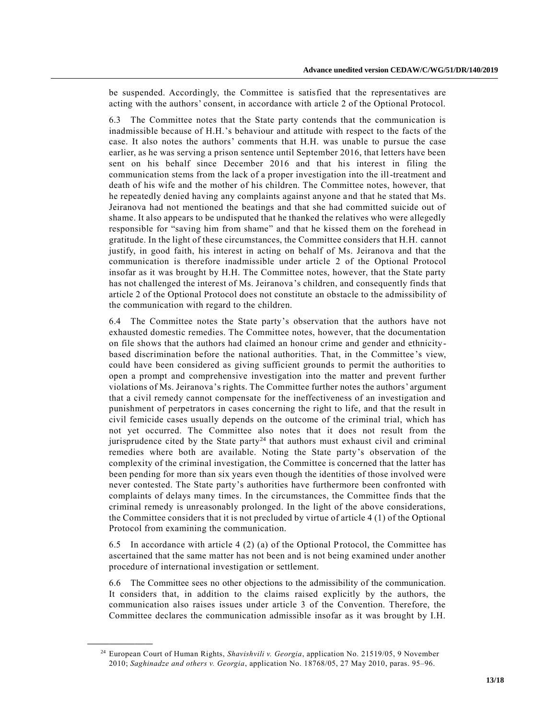be suspended. Accordingly, the Committee is satisfied that the representatives are acting with the authors' consent, in accordance with article 2 of the Optional Protocol.

6.3 The Committee notes that the State party contends that the communication is inadmissible because of H.H.'s behaviour and attitude with respect to the facts of the case. It also notes the authors' comments that H.H. was unable to pursue the case earlier, as he was serving a prison sentence until September 2016, that letters have been sent on his behalf since December 2016 and that his interest in filing the communication stems from the lack of a proper investigation into the ill-treatment and death of his wife and the mother of his children. The Committee notes, however, that he repeatedly denied having any complaints against anyone and that he stated that Ms. Jeiranova had not mentioned the beatings and that she had committed suicide out of shame. It also appears to be undisputed that he thanked the relatives who were allegedly responsible for "saving him from shame" and that he kissed them on the forehead in gratitude. In the light of these circumstances, the Committee considers that H.H. cannot justify, in good faith, his interest in acting on behalf of Ms. Jeiranova and that the communication is therefore inadmissible under article 2 of the Optional Protocol insofar as it was brought by H.H. The Committee notes, however, that the State party has not challenged the interest of Ms. Jeiranova's children, and consequently finds that article 2 of the Optional Protocol does not constitute an obstacle to the admissibility of the communication with regard to the children.

6.4 The Committee notes the State party's observation that the authors have not exhausted domestic remedies. The Committee notes, however, that the documentation on file shows that the authors had claimed an honour crime and gender and ethnicitybased discrimination before the national authorities. That, in the Committee 's view, could have been considered as giving sufficient grounds to permit the authorities to open a prompt and comprehensive investigation into the matter and prevent further violations of Ms. Jeiranova's rights. The Committee further notes the authors' argument that a civil remedy cannot compensate for the ineffectiveness of an investigation and punishment of perpetrators in cases concerning the right to life, and that the result in civil femicide cases usually depends on the outcome of the criminal trial, which has not yet occurred. The Committee also notes that it does not result from the jurisprudence cited by the State party<sup>24</sup> that authors must exhaust civil and criminal remedies where both are available. Noting the State party's observation of the complexity of the criminal investigation, the Committee is concerned that the latter has been pending for more than six years even though the identities of those involved were never contested. The State party's authorities have furthermore been confronted with complaints of delays many times. In the circumstances, the Committee finds that the criminal remedy is unreasonably prolonged. In the light of the above considerations, the Committee considers that it is not precluded by virtue of article 4 (1) of the Optional Protocol from examining the communication.

6.5 In accordance with article 4 (2) (a) of the Optional Protocol, the Committee has ascertained that the same matter has not been and is not being examined under another procedure of international investigation or settlement.

6.6 The Committee sees no other objections to the admissibility of the communication. It considers that, in addition to the claims raised explicitly by the authors, the communication also raises issues under article 3 of the Convention. Therefore, the Committee declares the communication admissible insofar as it was brought by I.H.

<sup>24</sup> European Court of Human Rights, *Shavishvili v. Georgia*, application No. 21519/05, 9 November 2010; *Saghinadze and others v. Georgia*, application No. 18768/05, 27 May 2010, paras. 95–96.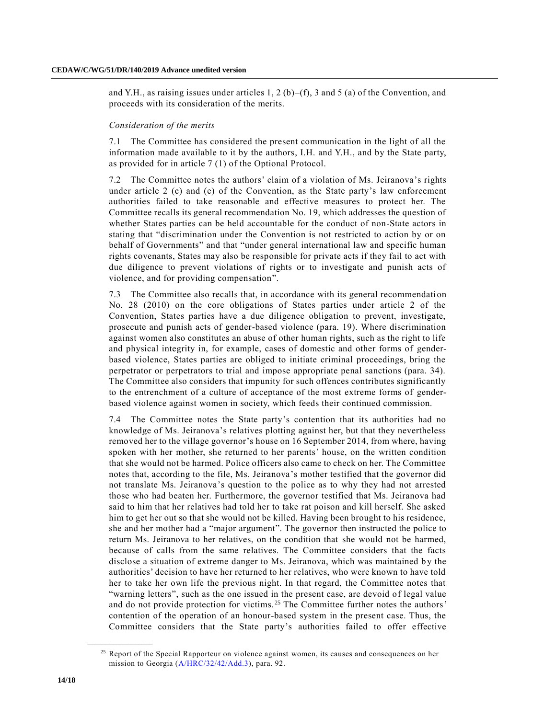and Y.H., as raising issues under articles 1, 2 (b)–(f), 3 and 5 (a) of the Convention, and proceeds with its consideration of the merits.

#### *Consideration of the merits*

7.1 The Committee has considered the present communication in the light of all the information made available to it by the authors, I.H. and Y.H., and by the State party, as provided for in article 7 (1) of the Optional Protocol.

7.2 The Committee notes the authors' claim of a violation of Ms. Jeiranova's rights under article 2 (c) and (e) of the Convention, as the State party's law enforcement authorities failed to take reasonable and effective measures to protect her. The Committee recalls its general recommendation No. 19, which addresses the question of whether States parties can be held accountable for the conduct of non-State actors in stating that "discrimination under the Convention is not restricted to action by or on behalf of Governments" and that "under general international law and specific human rights covenants, States may also be responsible for private acts if they fail to act with due diligence to prevent violations of rights or to investigate and punish acts of violence, and for providing compensation".

7.3 The Committee also recalls that, in accordance with its general recommendation No. 28 (2010) on the core obligations of States parties under article 2 of the Convention, States parties have a due diligence obligation to prevent, investigate, prosecute and punish acts of gender-based violence (para. 19). Where discrimination against women also constitutes an abuse of other human rights, such as the right to life and physical integrity in, for example, cases of domestic and other forms of genderbased violence, States parties are obliged to initiate criminal proceedings, bring the perpetrator or perpetrators to trial and impose appropriate penal sanctions (para. 34). The Committee also considers that impunity for such offences contributes significantly to the entrenchment of a culture of acceptance of the most extreme forms of genderbased violence against women in society, which feeds their continued commission.

7.4 The Committee notes the State party's contention that its authorities had no knowledge of Ms. Jeiranova's relatives plotting against her, but that they nevertheless removed her to the village governor's house on 16 September 2014, from where, having spoken with her mother, she returned to her parents' house, on the written condition that she would not be harmed. Police officers also came to check on her. The Committee notes that, according to the file, Ms. Jeiranova's mother testified that the governor did not translate Ms. Jeiranova's question to the police as to why they had not arrested those who had beaten her. Furthermore, the governor testified that Ms. Jeiranova had said to him that her relatives had told her to take rat poison and kill herself. She asked him to get her out so that she would not be killed. Having been brought to his residence, she and her mother had a "major argument". The governor then instructed the police to return Ms. Jeiranova to her relatives, on the condition that she would not be harmed, because of calls from the same relatives. The Committee considers that the facts disclose a situation of extreme danger to Ms. Jeiranova, which was maintained b y the authorities' decision to have her returned to her relatives, who were known to have told her to take her own life the previous night. In that regard, the Committee notes that "warning letters", such as the one issued in the present case, are devoid of legal value and do not provide protection for victims.<sup>25</sup> The Committee further notes the authors' contention of the operation of an honour-based system in the present case. Thus, the Committee considers that the State party's authorities failed to offer effective

<sup>&</sup>lt;sup>25</sup> Report of the Special Rapporteur on violence against women, its causes and consequences on her mission to Georgia [\(A/HRC/32/42/Add.3\)](https://undocs.org/en/A/HRC/32/42/Add.3), para. 92.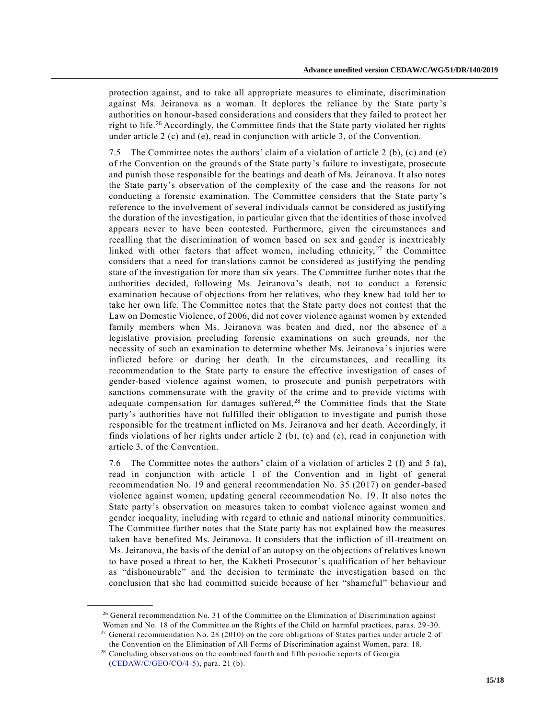protection against, and to take all appropriate measures to eliminate, discrimination against Ms. Jeiranova as a woman. It deplores the reliance by the State party's authorities on honour-based considerations and considers that they failed to protect her right to life.<sup>26</sup> Accordingly, the Committee finds that the State party violated her rights under article 2 (c) and (e), read in conjunction with article 3, of the Convention.

7.5 The Committee notes the authors' claim of a violation of article 2 (b), (c) and (e) of the Convention on the grounds of the State party's failure to investigate, prosecute and punish those responsible for the beatings and death of Ms. Jeiranova. It also notes the State party's observation of the complexity of the case and the reasons for not conducting a forensic examination. The Committee considers that the State party's reference to the involvement of several individuals cannot be considered as justifying the duration of the investigation, in particular given that the identities of those involved appears never to have been contested. Furthermore, given the circumstances and recalling that the discrimination of women based on sex and gender is inextricably linked with other factors that affect women, including ethnicity,  $27$  the Committee considers that a need for translations cannot be considered as justifying the pending state of the investigation for more than six years. The Committee further notes that the authorities decided, following Ms. Jeiranova's death, not to conduct a forensic examination because of objections from her relatives, who they knew had told her to take her own life. The Committee notes that the State party does not contest that the Law on Domestic Violence, of 2006, did not cover violence against women by extended family members when Ms. Jeiranova was beaten and died, nor the absence of a legislative provision precluding forensic examinations on such grounds, nor the necessity of such an examination to determine whether Ms. Jeiranova 's injuries were inflicted before or during her death. In the circumstances, and recalling its recommendation to the State party to ensure the effective investigation of cases of gender-based violence against women, to prosecute and punish perpetrators with sanctions commensurate with the gravity of the crime and to provide victims with adequate compensation for damages suffered,<sup>28</sup> the Committee finds that the State party's authorities have not fulfilled their obligation to investigate and punish those responsible for the treatment inflicted on Ms. Jeiranova and her death. Accordingly, it finds violations of her rights under article 2 (b), (c) and (e), read in conjunction with article 3, of the Convention.

7.6 The Committee notes the authors' claim of a violation of articles 2 (f) and 5 (a), read in conjunction with article 1 of the Convention and in light of general recommendation No. 19 and general recommendation No. 35 (2017) on gender-based violence against women, updating general recommendation No. 19. It also notes the State party's observation on measures taken to combat violence against women and gender inequality, including with regard to ethnic and national minority communities. The Committee further notes that the State party has not explained how the measures taken have benefited Ms. Jeiranova. It considers that the infliction of ill-treatment on Ms. Jeiranova, the basis of the denial of an autopsy on the objections of relatives known to have posed a threat to her, the Kakheti Prosecutor's qualification of her behaviour as "dishonourable" and the decision to terminate the investigation based on the conclusion that she had committed suicide because of her "shameful" behaviour and

 $26$  General recommendation No. 31 of the Committee on the Elimination of Discrimination against Women and No. 18 of the Committee on the Rights of the Child on harmful practices, paras. 29 -30.

 $27$  General recommendation No. 28 (2010) on the core obligations of States parties under article 2 of the Convention on the Elimination of All Forms of Discrimination against Women, para. 18.

<sup>&</sup>lt;sup>28</sup> Concluding observations on the combined fourth and fifth periodic reports of Georgia [\(CEDAW/C/GEO/CO/4-5\)](https://undocs.org/en/CEDAW/C/GEO/CO/4-5), para. 21 (b).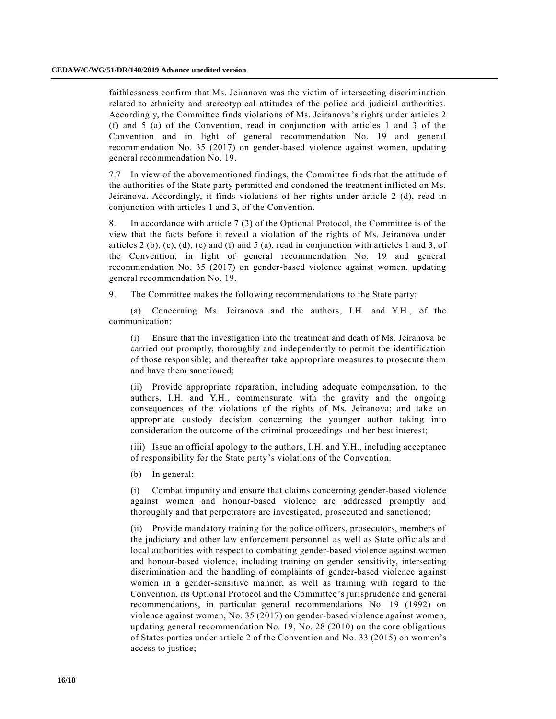faithlessness confirm that Ms. Jeiranova was the victim of intersecting discrimination related to ethnicity and stereotypical attitudes of the police and judicial authorities. Accordingly, the Committee finds violations of Ms. Jeiranova's rights under articles 2 (f) and 5 (a) of the Convention, read in conjunction with articles 1 and 3 of the Convention and in light of general recommendation No. 19 and general recommendation No. 35 (2017) on gender-based violence against women, updating general recommendation No. 19.

7.7 In view of the abovementioned findings, the Committee finds that the attitude o f the authorities of the State party permitted and condoned the treatment inflicted on Ms. Jeiranova. Accordingly, it finds violations of her rights under article 2 (d), read in conjunction with articles 1 and 3, of the Convention.

8. In accordance with article 7 (3) of the Optional Protocol, the Committee is of the view that the facts before it reveal a violation of the rights of Ms. Jeiranova under articles  $2(b)$ ,  $(c)$ ,  $(d)$ ,  $(e)$  and  $(f)$  and  $5(a)$ , read in conjunction with articles 1 and 3, of the Convention, in light of general recommendation No. 19 and general recommendation No. 35 (2017) on gender-based violence against women, updating general recommendation No. 19.

9. The Committee makes the following recommendations to the State party:

(a) Concerning Ms. Jeiranova and the authors, I.H. and Y.H., of the communication:

(i) Ensure that the investigation into the treatment and death of Ms. Jeiranova be carried out promptly, thoroughly and independently to permit the identification of those responsible; and thereafter take appropriate measures to prosecute them and have them sanctioned;

(ii) Provide appropriate reparation, including adequate compensation, to the authors, I.H. and Y.H., commensurate with the gravity and the ongoing consequences of the violations of the rights of Ms. Jeiranova; and take an appropriate custody decision concerning the younger author taking into consideration the outcome of the criminal proceedings and her best interest;

(iii) Issue an official apology to the authors, I.H. and Y.H., including acceptance of responsibility for the State party's violations of the Convention.

(b) In general:

(i) Combat impunity and ensure that claims concerning gender-based violence against women and honour-based violence are addressed promptly and thoroughly and that perpetrators are investigated, prosecuted and sanctioned;

(ii) Provide mandatory training for the police officers, prosecutors, members of the judiciary and other law enforcement personnel as well as State officials and local authorities with respect to combating gender-based violence against women and honour-based violence, including training on gender sensitivity, intersecting discrimination and the handling of complaints of gender-based violence against women in a gender-sensitive manner, as well as training with regard to the Convention, its Optional Protocol and the Committee's jurisprudence and general recommendations, in particular general recommendations No. 19 (1992) on violence against women, No. 35 (2017) on gender-based violence against women, updating general recommendation No. 19, No. 28 (2010) on the core obligations of States parties under article 2 of the Convention and No. 33 (2015) on women's access to justice;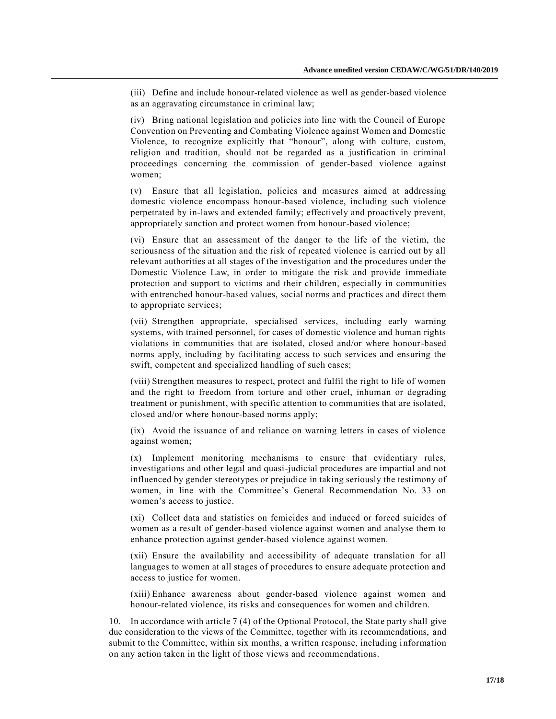(iii) Define and include honour-related violence as well as gender-based violence as an aggravating circumstance in criminal law;

(iv) Bring national legislation and policies into line with the Council of Europe Convention on Preventing and Combating Violence against Women and Domestic Violence, to recognize explicitly that "honour", along with culture, custom, religion and tradition, should not be regarded as a justification in criminal proceedings concerning the commission of gender-based violence against women;

(v) Ensure that all legislation, policies and measures aimed at addressing domestic violence encompass honour-based violence, including such violence perpetrated by in-laws and extended family; effectively and proactively prevent, appropriately sanction and protect women from honour-based violence;

(vi) Ensure that an assessment of the danger to the life of the victim, the seriousness of the situation and the risk of repeated violence is carried out by all relevant authorities at all stages of the investigation and the procedures under the Domestic Violence Law, in order to mitigate the risk and provide immediate protection and support to victims and their children, especially in communities with entrenched honour-based values, social norms and practices and direct them to appropriate services;

(vii) Strengthen appropriate, specialised services, including early warning systems, with trained personnel, for cases of domestic violence and human rights violations in communities that are isolated, closed and/or where honour-based norms apply, including by facilitating access to such services and ensuring the swift, competent and specialized handling of such cases;

(viii) Strengthen measures to respect, protect and fulfil the right to life of women and the right to freedom from torture and other cruel, inhuman or degrading treatment or punishment, with specific attention to communities that are isolated, closed and/or where honour-based norms apply;

(ix) Avoid the issuance of and reliance on warning letters in cases of violence against women;

(x) Implement monitoring mechanisms to ensure that evidentiary rules, investigations and other legal and quasi-judicial procedures are impartial and not influenced by gender stereotypes or prejudice in taking seriously the testimony of women, in line with the Committee's General Recommendation No. 33 on women's access to justice.

(xi) Collect data and statistics on femicides and induced or forced suicides of women as a result of gender-based violence against women and analyse them to enhance protection against gender-based violence against women.

(xii) Ensure the availability and accessibility of adequate translation for all languages to women at all stages of procedures to ensure adequate protection and access to justice for women.

(xiii) Enhance awareness about gender-based violence against women and honour-related violence, its risks and consequences for women and children.

10. In accordance with article 7 (4) of the Optional Protocol, the State party shall give due consideration to the views of the Committee, together with its recommendations, and submit to the Committee, within six months, a written response, including information on any action taken in the light of those views and recommendations.